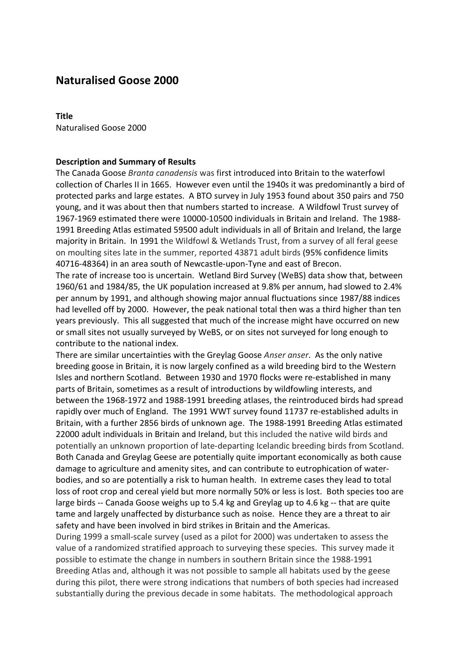# **Naturalised Goose 2000**

#### **Title**

Naturalised Goose 2000

#### **Description and Summary of Results**

The Canada Goose *Branta canadensis* was first introduced into Britain to the waterfowl collection of Charles II in 1665. However even until the 1940s it was predominantly a bird of protected parks and large estates. A BTO survey in July 1953 found about 350 pairs and 750 young, and it was about then that numbers started to increase. A Wildfowl Trust survey of 1967-1969 estimated there were 10000-10500 individuals in Britain and Ireland. The 1988- 1991 Breeding Atlas estimated 59500 adult individuals in all of Britain and Ireland, the large majority in Britain. In 1991 the Wildfowl & Wetlands Trust, from a survey of all feral geese on moulting sites late in the summer, reported 43871 adult birds (95% confidence limits 40716-48364) in an area south of Newcastle-upon-Tyne and east of Brecon.

The rate of increase too is uncertain. Wetland Bird Survey (WeBS) data show that, between 1960/61 and 1984/85, the UK population increased at 9.8% per annum, had slowed to 2.4% per annum by 1991, and although showing major annual fluctuations since 1987/88 indices had levelled off by 2000. However, the peak national total then was a third higher than ten years previously. This all suggested that much of the increase might have occurred on new or small sites not usually surveyed by WeBS, or on sites not surveyed for long enough to contribute to the national index.

There are similar uncertainties with the Greylag Goose *Anser anser*. As the only native breeding goose in Britain, it is now largely confined as a wild breeding bird to the Western Isles and northern Scotland. Between 1930 and 1970 flocks were re-established in many parts of Britain, sometimes as a result of introductions by wildfowling interests, and between the 1968-1972 and 1988-1991 breeding atlases, the reintroduced birds had spread rapidly over much of England. The 1991 WWT survey found 11737 re-established adults in Britain, with a further 2856 birds of unknown age. The 1988-1991 Breeding Atlas estimated 22000 adult individuals in Britain and Ireland, but this included the native wild birds and potentially an unknown proportion of late-departing Icelandic breeding birds from Scotland. Both Canada and Greylag Geese are potentially quite important economically as both cause damage to agriculture and amenity sites, and can contribute to eutrophication of waterbodies, and so are potentially a risk to human health. In extreme cases they lead to total loss of root crop and cereal yield but more normally 50% or less is lost. Both species too are large birds -- Canada Goose weighs up to 5.4 kg and Greylag up to 4.6 kg -- that are quite tame and largely unaffected by disturbance such as noise. Hence they are a threat to air safety and have been involved in bird strikes in Britain and the Americas.

During 1999 a small-scale survey (used as a pilot for 2000) was undertaken to assess the value of a randomized stratified approach to surveying these species. This survey made it possible to estimate the change in numbers in southern Britain since the 1988-1991 Breeding Atlas and, although it was not possible to sample all habitats used by the geese during this pilot, there were strong indications that numbers of both species had increased substantially during the previous decade in some habitats. The methodological approach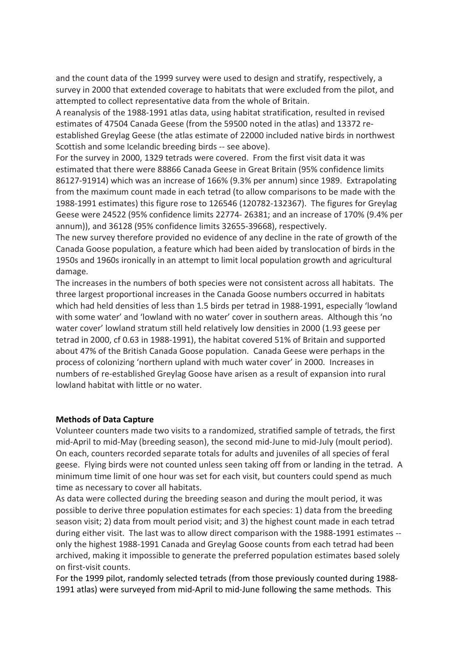and the count data of the 1999 survey were used to design and stratify, respectively, a survey in 2000 that extended coverage to habitats that were excluded from the pilot, and attempted to collect representative data from the whole of Britain.

A reanalysis of the 1988-1991 atlas data, using habitat stratification, resulted in revised estimates of 47504 Canada Geese (from the 59500 noted in the atlas) and 13372 reestablished Greylag Geese (the atlas estimate of 22000 included native birds in northwest Scottish and some Icelandic breeding birds -- see above).

For the survey in 2000, 1329 tetrads were covered. From the first visit data it was estimated that there were 88866 Canada Geese in Great Britain (95% confidence limits 86127-91914) which was an increase of 166% (9.3% per annum) since 1989. Extrapolating from the maximum count made in each tetrad (to allow comparisons to be made with the 1988-1991 estimates) this figure rose to 126546 (120782-132367). The figures for Greylag Geese were 24522 (95% confidence limits 22774- 26381; and an increase of 170% (9.4% per annum)), and 36128 (95% confidence limits 32655-39668), respectively.

The new survey therefore provided no evidence of any decline in the rate of growth of the Canada Goose population, a feature which had been aided by translocation of birds in the 1950s and 1960s ironically in an attempt to limit local population growth and agricultural damage.

The increases in the numbers of both species were not consistent across all habitats. The three largest proportional increases in the Canada Goose numbers occurred in habitats which had held densities of less than 1.5 birds per tetrad in 1988-1991, especially 'lowland with some water' and 'lowland with no water' cover in southern areas. Although this 'no water cover' lowland stratum still held relatively low densities in 2000 (1.93 geese per tetrad in 2000, cf 0.63 in 1988-1991), the habitat covered 51% of Britain and supported about 47% of the British Canada Goose population. Canada Geese were perhaps in the process of colonizing 'northern upland with much water cover' in 2000. Increases in numbers of re-established Greylag Goose have arisen as a result of expansion into rural lowland habitat with little or no water.

## **Methods of Data Capture**

Volunteer counters made two visits to a randomized, stratified sample of tetrads, the first mid-April to mid-May (breeding season), the second mid-June to mid-July (moult period). On each, counters recorded separate totals for adults and juveniles of all species of feral geese. Flying birds were not counted unless seen taking off from or landing in the tetrad. A minimum time limit of one hour was set for each visit, but counters could spend as much time as necessary to cover all habitats.

As data were collected during the breeding season and during the moult period, it was possible to derive three population estimates for each species: 1) data from the breeding season visit; 2) data from moult period visit; and 3) the highest count made in each tetrad during either visit. The last was to allow direct comparison with the 1988-1991 estimates - only the highest 1988-1991 Canada and Greylag Goose counts from each tetrad had been archived, making it impossible to generate the preferred population estimates based solely on first-visit counts.

For the 1999 pilot, randomly selected tetrads (from those previously counted during 1988- 1991 atlas) were surveyed from mid-April to mid-June following the same methods. This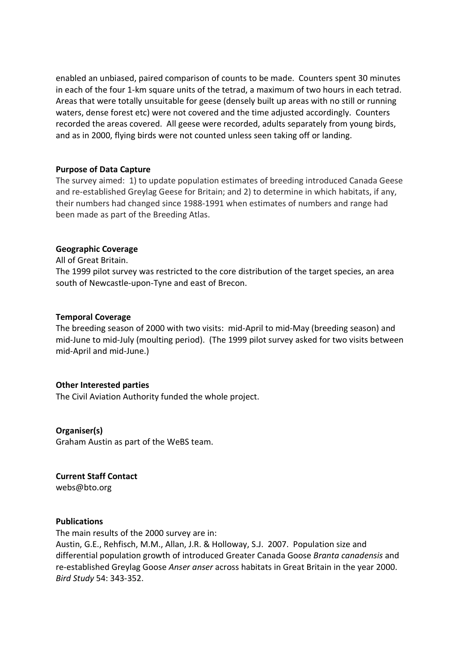enabled an unbiased, paired comparison of counts to be made. Counters spent 30 minutes in each of the four 1-km square units of the tetrad, a maximum of two hours in each tetrad. Areas that were totally unsuitable for geese (densely built up areas with no still or running waters, dense forest etc) were not covered and the time adjusted accordingly. Counters recorded the areas covered. All geese were recorded, adults separately from young birds, and as in 2000, flying birds were not counted unless seen taking off or landing.

## **Purpose of Data Capture**

The survey aimed: 1) to update population estimates of breeding introduced Canada Geese and re-established Greylag Geese for Britain; and 2) to determine in which habitats, if any, their numbers had changed since 1988-1991 when estimates of numbers and range had been made as part of the Breeding Atlas.

## **Geographic Coverage**

All of Great Britain. The 1999 pilot survey was restricted to the core distribution of the target species, an area south of Newcastle-upon-Tyne and east of Brecon.

## **Temporal Coverage**

The breeding season of 2000 with two visits: mid-April to mid-May (breeding season) and mid-June to mid-July (moulting period). (The 1999 pilot survey asked for two visits between mid-April and mid-June.)

## **Other Interested parties**

The Civil Aviation Authority funded the whole project.

## **Organiser(s)**

Graham Austin as part of the WeBS team.

**Current Staff Contact**  webs@bto.org

#### **Publications**

The main results of the 2000 survey are in:

Austin, G.E., Rehfisch, M.M., Allan, J.R. & Holloway, S.J. 2007. Population size and differential population growth of introduced Greater Canada Goose *Branta canadensis* and re-established Greylag Goose *Anser anser* across habitats in Great Britain in the year 2000. *Bird Study* 54: 343-352.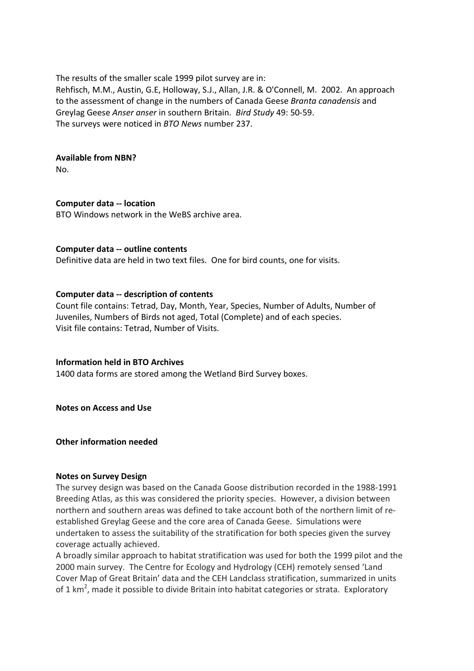The results of the smaller scale 1999 pilot survey are in:

Rehfisch, M.M., Austin, G.E, Holloway, S.J., Allan, J.R. & O'Connell, M. 2002. An approach to the assessment of change in the numbers of Canada Geese *Branta canadensis* and Greylag Geese *Anser anser* in southern Britain. *Bird Study* 49: 50-59. The surveys were noticed in *BTO News* number 237.

## **Available from NBN?**

No.

## **Computer data -- location**

BTO Windows network in the WeBS archive area.

## **Computer data -- outline contents**

Definitive data are held in two text files. One for bird counts, one for visits.

## **Computer data -- description of contents**

Count file contains: Tetrad, Day, Month, Year, Species, Number of Adults, Number of Juveniles, Numbers of Birds not aged, Total (Complete) and of each species. Visit file contains: Tetrad, Number of Visits.

## **Information held in BTO Archives**

1400 data forms are stored among the Wetland Bird Survey boxes.

**Notes on Access and Use**

**Other information needed**

#### **Notes on Survey Design**

The survey design was based on the Canada Goose distribution recorded in the 1988-1991 Breeding Atlas, as this was considered the priority species. However, a division between northern and southern areas was defined to take account both of the northern limit of reestablished Greylag Geese and the core area of Canada Geese. Simulations were undertaken to assess the suitability of the stratification for both species given the survey coverage actually achieved.

A broadly similar approach to habitat stratification was used for both the 1999 pilot and the 2000 main survey. The Centre for Ecology and Hydrology (CEH) remotely sensed 'Land Cover Map of Great Britain' data and the CEH Landclass stratification, summarized in units of 1 km<sup>2</sup>, made it possible to divide Britain into habitat categories or strata. Exploratory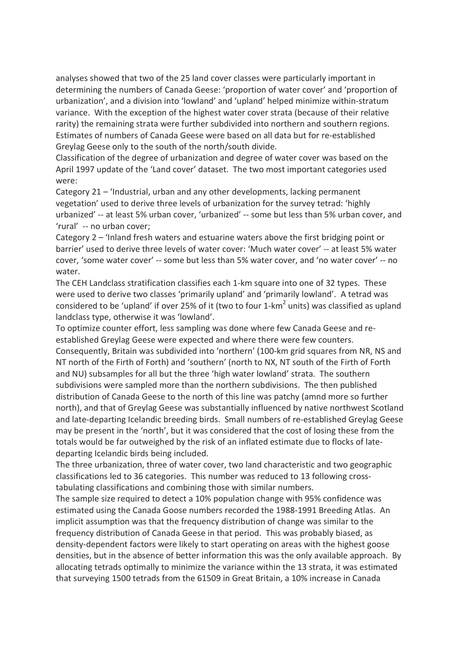analyses showed that two of the 25 land cover classes were particularly important in determining the numbers of Canada Geese: 'proportion of water cover' and 'proportion of urbanization', and a division into 'lowland' and 'upland' helped minimize within-stratum variance. With the exception of the highest water cover strata (because of their relative rarity) the remaining strata were further subdivided into northern and southern regions. Estimates of numbers of Canada Geese were based on all data but for re-established Greylag Geese only to the south of the north/south divide.

Classification of the degree of urbanization and degree of water cover was based on the April 1997 update of the 'Land cover' dataset. The two most important categories used were:

Category 21 – 'Industrial, urban and any other developments, lacking permanent vegetation' used to derive three levels of urbanization for the survey tetrad: 'highly urbanized' -- at least 5% urban cover, 'urbanized' -- some but less than 5% urban cover, and 'rural' -- no urban cover;

Category 2 – 'Inland fresh waters and estuarine waters above the first bridging point or barrier' used to derive three levels of water cover: 'Much water cover' -- at least 5% water cover, 'some water cover' -- some but less than 5% water cover, and 'no water cover' -- no water.

The CEH Landclass stratification classifies each 1-km square into one of 32 types. These were used to derive two classes 'primarily upland' and 'primarily lowland'. A tetrad was considered to be 'upland' if over 25% of it (two to four 1-km<sup>2</sup> units) was classified as upland landclass type, otherwise it was 'lowland'.

To optimize counter effort, less sampling was done where few Canada Geese and reestablished Greylag Geese were expected and where there were few counters. Consequently, Britain was subdivided into 'northern' (100-km grid squares from NR, NS and NT north of the Firth of Forth) and 'southern' (north to NX, NT south of the Firth of Forth and NU) subsamples for all but the three 'high water lowland' strata. The southern subdivisions were sampled more than the northern subdivisions. The then published distribution of Canada Geese to the north of this line was patchy (amnd more so further north), and that of Greylag Geese was substantially influenced by native northwest Scotland and late-departing Icelandic breeding birds. Small numbers of re-established Greylag Geese may be present in the 'north', but it was considered that the cost of losing these from the totals would be far outweighed by the risk of an inflated estimate due to flocks of latedeparting Icelandic birds being included.

The three urbanization, three of water cover, two land characteristic and two geographic classifications led to 36 categories. This number was reduced to 13 following crosstabulating classifications and combining those with similar numbers.

The sample size required to detect a 10% population change with 95% confidence was estimated using the Canada Goose numbers recorded the 1988-1991 Breeding Atlas. An implicit assumption was that the frequency distribution of change was similar to the frequency distribution of Canada Geese in that period. This was probably biased, as density-dependent factors were likely to start operating on areas with the highest goose densities, but in the absence of better information this was the only available approach. By allocating tetrads optimally to minimize the variance within the 13 strata, it was estimated that surveying 1500 tetrads from the 61509 in Great Britain, a 10% increase in Canada